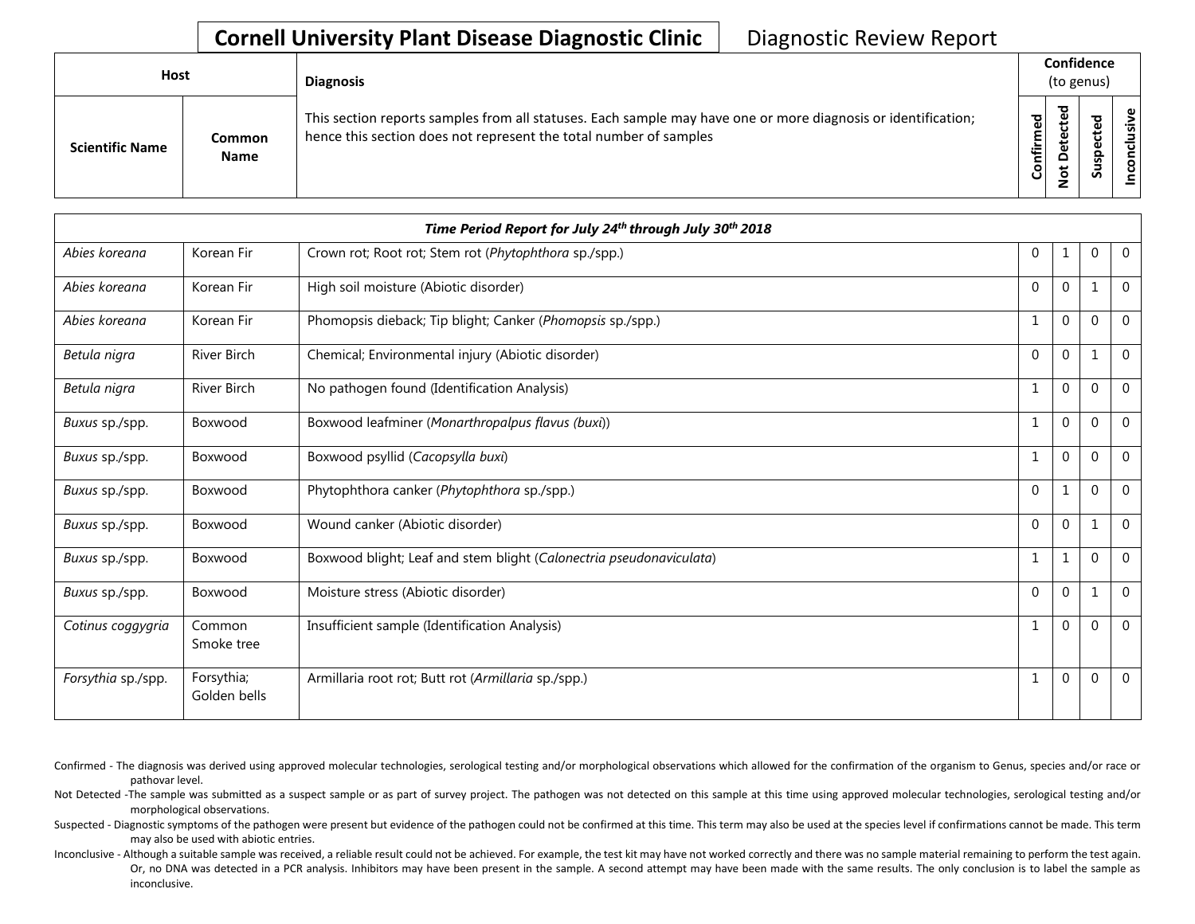## **Cornell University Plant Disease Diagnostic Clinic** | Diagnostic Review Report

| Host                   |                       | <b>Diagnosis</b>                                                                                                                                                                   |           | Confidence<br>(to genus) |   |                |
|------------------------|-----------------------|------------------------------------------------------------------------------------------------------------------------------------------------------------------------------------|-----------|--------------------------|---|----------------|
| <b>Scientific Name</b> | Common<br><b>Name</b> | This section reports samples from all statuses. Each sample may have one or more diagnosis or identification;<br>hence this section does not represent the total number of samples | Confirmed | 73<br>≏<br>سد            | 5 | usive<br>concl |

|                    | Time Period Report for July 24th through July 30th 2018 |                                                                     |              |          |              |                |  |  |  |
|--------------------|---------------------------------------------------------|---------------------------------------------------------------------|--------------|----------|--------------|----------------|--|--|--|
| Abies koreana      | Korean Fir                                              | Crown rot; Root rot; Stem rot (Phytophthora sp./spp.)               | $\Omega$     | 1        | $\Omega$     | $\mathbf 0$    |  |  |  |
| Abies koreana      | Korean Fir                                              | High soil moisture (Abiotic disorder)                               | $\Omega$     | $\Omega$ | 1            | $\Omega$       |  |  |  |
| Abies koreana      | Korean Fir                                              | Phomopsis dieback; Tip blight; Canker (Phomopsis sp./spp.)          | $\mathbf{1}$ | $\Omega$ | $\Omega$     | $\Omega$       |  |  |  |
| Betula nigra       | River Birch                                             | Chemical; Environmental injury (Abiotic disorder)                   | $\Omega$     | $\theta$ | $\mathbf{1}$ | $\overline{0}$ |  |  |  |
| Betula nigra       | <b>River Birch</b>                                      | No pathogen found (Identification Analysis)                         | 1            | $\Omega$ | $\mathbf{0}$ | $\Omega$       |  |  |  |
| Buxus sp./spp.     | Boxwood                                                 | Boxwood leafminer (Monarthropalpus flavus (buxi))                   | 1            | $\Omega$ | $\mathbf{0}$ | $\mathbf 0$    |  |  |  |
| Buxus sp./spp.     | Boxwood                                                 | Boxwood psyllid (Cacopsylla buxi)                                   | 1            | $\theta$ | $\Omega$     | $\overline{0}$ |  |  |  |
| Buxus sp./spp.     | Boxwood                                                 | Phytophthora canker (Phytophthora sp./spp.)                         | $\Omega$     |          | $\Omega$     | $\mathbf{0}$   |  |  |  |
| Buxus sp./spp.     | Boxwood                                                 | Wound canker (Abiotic disorder)                                     | $\Omega$     | $\Omega$ | $\mathbf{1}$ | $\overline{0}$ |  |  |  |
| Buxus sp./spp.     | Boxwood                                                 | Boxwood blight; Leaf and stem blight (Calonectria pseudonaviculata) | 1            | 1        | $\Omega$     | $\overline{0}$ |  |  |  |
| Buxus sp./spp.     | Boxwood                                                 | Moisture stress (Abiotic disorder)                                  | $\Omega$     | $\Omega$ | $\mathbf{1}$ | $\mathbf{0}$   |  |  |  |
| Cotinus coggygria  | Common<br>Smoke tree                                    | Insufficient sample (Identification Analysis)                       | 1            | $\Omega$ | $\Omega$     | $\Omega$       |  |  |  |
| Forsythia sp./spp. | Forsythia;<br>Golden bells                              | Armillaria root rot; Butt rot (Armillaria sp./spp.)                 |              | $\theta$ | $\Omega$     | $\overline{0}$ |  |  |  |

- Confirmed The diagnosis was derived using approved molecular technologies, serological testing and/or morphological observations which allowed for the confirmation of the organism to Genus, species and/or race or pathovar level.
- Not Detected -The sample was submitted as a suspect sample or as part of survey project. The pathogen was not detected on this sample at this time using approved molecular technologies, serological testing and/or morphological observations.
- Suspected Diagnostic symptoms of the pathogen were present but evidence of the pathogen could not be confirmed at this time. This term may also be used at the species level if confirmations cannot be made. This term may also be used with abiotic entries.
- Inconclusive Although a suitable sample was received, a reliable result could not be achieved. For example, the test kit may have not worked correctly and there was no sample material remaining to perform the test again. Or, no DNA was detected in a PCR analysis. Inhibitors may have been present in the sample. A second attempt may have been made with the same results. The only conclusion is to label the sample as inconclusive.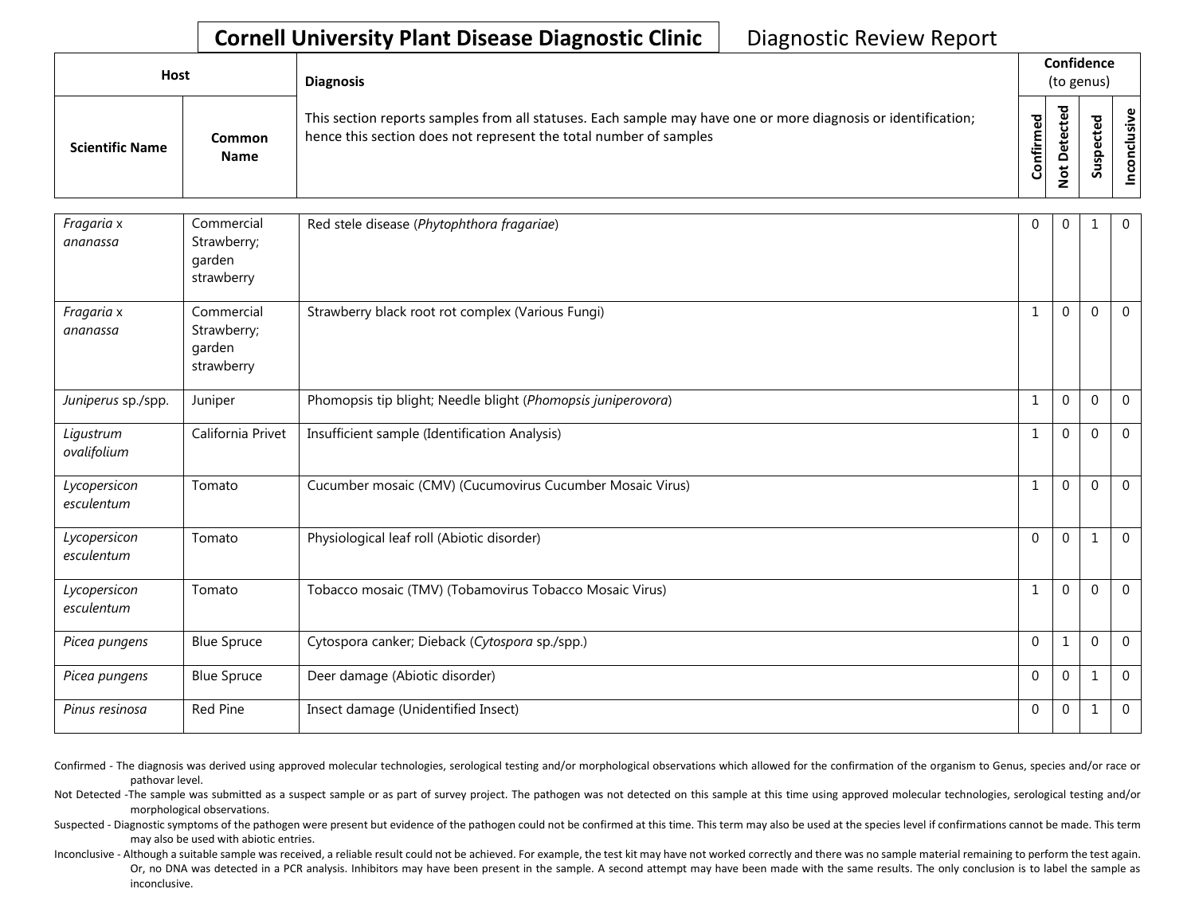## **Cornell University Plant Disease Diagnostic Clinic** | Diagnostic Review Report

| Host                   |                              | <b>Diagnosis</b>                                                                                                                                                                   |                          | Confidence<br>(to genus)             |                                       |   |
|------------------------|------------------------------|------------------------------------------------------------------------------------------------------------------------------------------------------------------------------------|--------------------------|--------------------------------------|---------------------------------------|---|
| <b>Scientific Name</b> | <b>Common</b><br><b>Name</b> | This section reports samples from all statuses. Each sample may have one or more diagnosis or identification;<br>hence this section does not represent the total number of samples | ဥ္ပ<br>튐<br>$\circ$<br>Ū | ठ<br>ω<br>ಕ<br>ω<br>ω<br>ى<br>Ō<br>– | ਠ<br>$\mathbf{\omega}$<br>ഄ<br>요<br>s | ഄ |

| Fragaria x<br>ananassa     | Commercial<br>Strawberry;<br>garden<br>strawberry | Red stele disease (Phytophthora fragariae)                   | $\Omega$ | 0           | 1            | $\mathbf{0}$   |
|----------------------------|---------------------------------------------------|--------------------------------------------------------------|----------|-------------|--------------|----------------|
| Fragaria x<br>ananassa     | Commercial<br>Strawberry;<br>garden<br>strawberry | Strawberry black root rot complex (Various Fungi)            | 1        | $\Omega$    | $\Omega$     | $\overline{0}$ |
| Juniperus sp./spp.         | Juniper                                           | Phomopsis tip blight; Needle blight (Phomopsis juniperovora) | 1        | $\mathbf 0$ | $\mathbf{0}$ | $\overline{0}$ |
| Ligustrum<br>ovalifolium   | California Privet                                 | Insufficient sample (Identification Analysis)                | 1        | $\Omega$    | $\mathbf{0}$ | $\overline{0}$ |
| Lycopersicon<br>esculentum | Tomato                                            | Cucumber mosaic (CMV) (Cucumovirus Cucumber Mosaic Virus)    | 1        | $\Omega$    | $\Omega$     | $\mathbf 0$    |
| Lycopersicon<br>esculentum | Tomato                                            | Physiological leaf roll (Abiotic disorder)                   | $\Omega$ | $\Omega$    |              | $\overline{0}$ |
| Lycopersicon<br>esculentum | Tomato                                            | Tobacco mosaic (TMV) (Tobamovirus Tobacco Mosaic Virus)      | 1        | 0           | $\Omega$     | $\overline{0}$ |
| Picea pungens              | <b>Blue Spruce</b>                                | Cytospora canker; Dieback (Cytospora sp./spp.)               | $\Omega$ | 1           | $\mathbf{0}$ | $\overline{0}$ |
| Picea pungens              | <b>Blue Spruce</b>                                | Deer damage (Abiotic disorder)                               | $\Omega$ | $\Omega$    | 1            | $\Omega$       |
| Pinus resinosa             | Red Pine                                          | Insect damage (Unidentified Insect)                          | $\Omega$ | 0           | 1            | $\mathbf 0$    |

Confirmed - The diagnosis was derived using approved molecular technologies, serological testing and/or morphological observations which allowed for the confirmation of the organism to Genus, species and/or race or pathovar level.

Not Detected -The sample was submitted as a suspect sample or as part of survey project. The pathogen was not detected on this sample at this time using approved molecular technologies, serological testing and/or morphological observations.

Suspected - Diagnostic symptoms of the pathogen were present but evidence of the pathogen could not be confirmed at this time. This term may also be used at the species level if confirmations cannot be made. This term may also be used with abiotic entries.

Inconclusive - Although a suitable sample was received, a reliable result could not be achieved. For example, the test kit may have not worked correctly and there was no sample material remaining to perform the test again. Or, no DNA was detected in a PCR analysis. Inhibitors may have been present in the sample. A second attempt may have been made with the same results. The only conclusion is to label the sample as inconclusive.